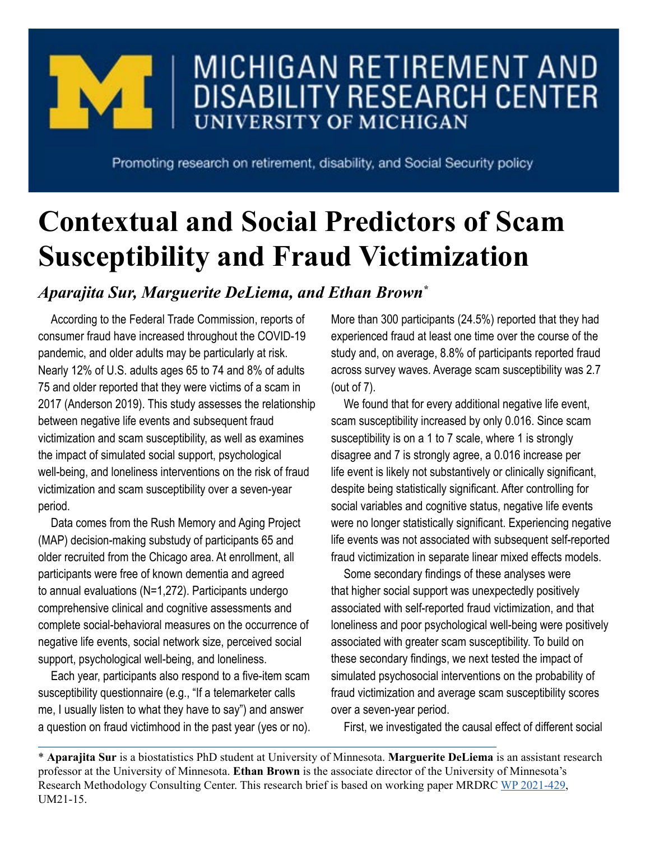

## MICHIGAN RETIREMENT AND **DISABILITY RESEARCH CENTER UNIVERSITY OF MICHIGAN**

Promoting research on retirement, disability, and Social Security policy

# **Contextual and Social Predictors of Scam Susceptibility and Fraud Victimization**

## *Aparajita Sur, Marguerite DeLiema, and Ethan Brown\**

According to the Federal Trade Commission, reports of consumer fraud have increased throughout the COVID-19 pandemic, and older adults may be particularly at risk. Nearly 12% of U.S. adults ages 65 to 74 and 8% of adults 75 and older reported that they were victims of a scam in 2017 (Anderson 2019). This study assesses the relationship between negative life events and subsequent fraud victimization and scam susceptibility, as well as examines the impact of simulated social support, psychological well-being, and loneliness interventions on the risk of fraud victimization and scam susceptibility over a seven-year period.

Data comes from the Rush Memory and Aging Project (MAP) decision-making substudy of participants 65 and older recruited from the Chicago area. At enrollment, all participants were free of known dementia and agreed to annual evaluations (N=1,272). Participants undergo comprehensive clinical and cognitive assessments and complete social-behavioral measures on the occurrence of negative life events, social network size, perceived social support, psychological well-being, and loneliness.

Each year, participants also respond to a five-item scam susceptibility questionnaire (e.g., "If a telemarketer calls me, I usually listen to what they have to say") and answer a question on fraud victimhood in the past year (yes or no). More than 300 participants (24.5%) reported that they had experienced fraud at least one time over the course of the study and, on average, 8.8% of participants reported fraud across survey waves. Average scam susceptibility was 2.7 (out of 7).

We found that for every additional negative life event, scam susceptibility increased by only 0.016. Since scam susceptibility is on a 1 to 7 scale, where 1 is strongly disagree and 7 is strongly agree, a 0.016 increase per life event is likely not substantively or clinically significant, despite being statistically significant. After controlling for social variables and cognitive status, negative life events were no longer statistically significant. Experiencing negative life events was not associated with subsequent self-reported fraud victimization in separate linear mixed effects models.

Some secondary findings of these analyses were that higher social support was unexpectedly positively associated with self-reported fraud victimization, and that loneliness and poor psychological well-being were positively associated with greater scam susceptibility. To build on these secondary findings, we next tested the impact of simulated psychosocial interventions on the probability of fraud victimization and average scam susceptibility scores over a seven-year period.

First, we investigated the causal effect of different social

\* **Aparajita Sur** is a biostatistics PhD student at University of Minnesota. **Marguerite DeLiema** is an assistant research professor at the University of Minnesota. **Ethan Brown** is the associate director of the University of Minnesota's Research Methodology Consulting Center. This research brief is based on working paper MRDRC [WP 2021-429,](https://mrdrc.isr.umich.edu/projects/contextual-and-social-predictors-of-scam-susceptibility-and-fraud-victimization/) UM21-15.